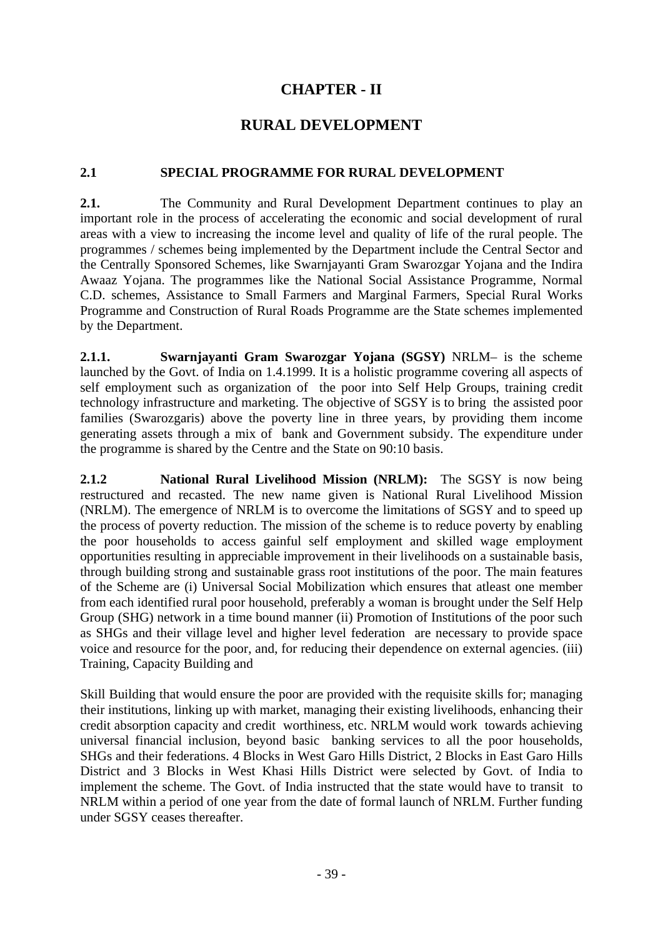# **CHAPTER - II**

## **RURAL DEVELOPMENT**

#### **2.1 SPECIAL PROGRAMME FOR RURAL DEVELOPMENT**

**2.1.** The Community and Rural Development Department continues to play an important role in the process of accelerating the economic and social development of rural areas with a view to increasing the income level and quality of life of the rural people. The programmes / schemes being implemented by the Department include the Central Sector and the Centrally Sponsored Schemes, like Swarnjayanti Gram Swarozgar Yojana and the Indira Awaaz Yojana. The programmes like the National Social Assistance Programme, Normal C.D. schemes, Assistance to Small Farmers and Marginal Farmers, Special Rural Works Programme and Construction of Rural Roads Programme are the State schemes implemented by the Department.

**2.1.1. Swarnjayanti Gram Swarozgar Yojana (SGSY)** NRLM– is the scheme launched by the Govt. of India on 1.4.1999. It is a holistic programme covering all aspects of self employment such as organization of the poor into Self Help Groups, training credit technology infrastructure and marketing. The objective of SGSY is to bring the assisted poor families (Swarozgaris) above the poverty line in three years, by providing them income generating assets through a mix of bank and Government subsidy. The expenditure under the programme is shared by the Centre and the State on 90:10 basis.

**2.1.2 National Rural Livelihood Mission (NRLM):** The SGSY is now being restructured and recasted. The new name given is National Rural Livelihood Mission (NRLM). The emergence of NRLM is to overcome the limitations of SGSY and to speed up the process of poverty reduction. The mission of the scheme is to reduce poverty by enabling the poor households to access gainful self employment and skilled wage employment opportunities resulting in appreciable improvement in their livelihoods on a sustainable basis, through building strong and sustainable grass root institutions of the poor. The main features of the Scheme are (i) Universal Social Mobilization which ensures that atleast one member from each identified rural poor household, preferably a woman is brought under the Self Help Group (SHG) network in a time bound manner (ii) Promotion of Institutions of the poor such as SHGs and their village level and higher level federation are necessary to provide space voice and resource for the poor, and, for reducing their dependence on external agencies. (iii) Training, Capacity Building and

Skill Building that would ensure the poor are provided with the requisite skills for; managing their institutions, linking up with market, managing their existing livelihoods, enhancing their credit absorption capacity and credit worthiness, etc. NRLM would work towards achieving universal financial inclusion, beyond basic banking services to all the poor households, SHGs and their federations. 4 Blocks in West Garo Hills District, 2 Blocks in East Garo Hills District and 3 Blocks in West Khasi Hills District were selected by Govt. of India to implement the scheme. The Govt. of India instructed that the state would have to transit to NRLM within a period of one year from the date of formal launch of NRLM. Further funding under SGSY ceases thereafter.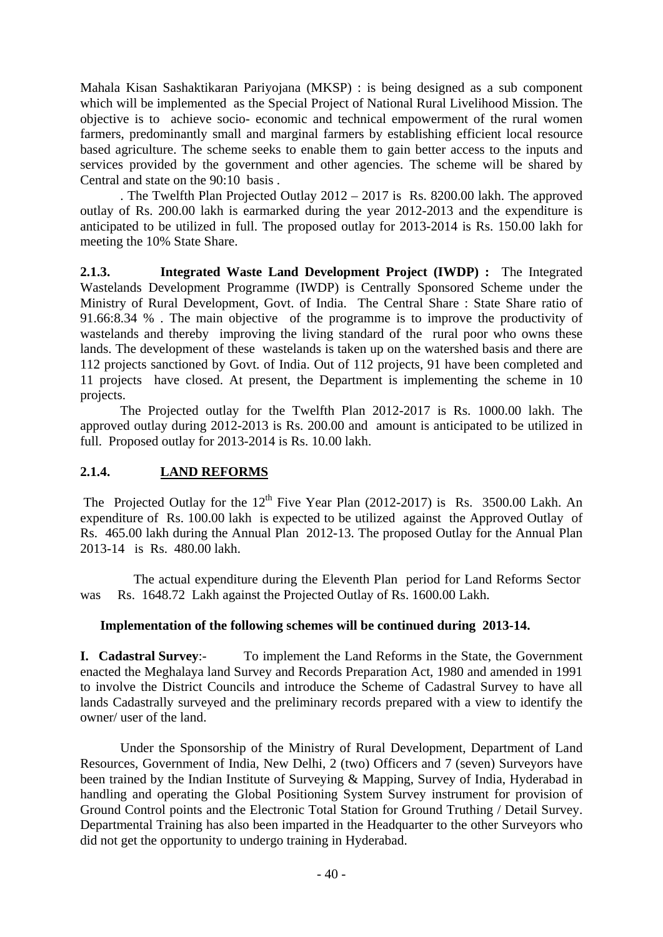Mahala Kisan Sashaktikaran Pariyojana (MKSP) : is being designed as a sub component which will be implemented as the Special Project of National Rural Livelihood Mission. The objective is to achieve socio- economic and technical empowerment of the rural women farmers, predominantly small and marginal farmers by establishing efficient local resource based agriculture. The scheme seeks to enable them to gain better access to the inputs and services provided by the government and other agencies. The scheme will be shared by Central and state on the 90:10 basis .

. The Twelfth Plan Projected Outlay 2012 – 2017 is Rs. 8200.00 lakh. The approved outlay of Rs. 200.00 lakh is earmarked during the year 2012-2013 and the expenditure is anticipated to be utilized in full. The proposed outlay for 2013-2014 is Rs. 150.00 lakh for meeting the 10% State Share.

**2.1.3. Integrated Waste Land Development Project (IWDP) :** The Integrated Wastelands Development Programme (IWDP) is Centrally Sponsored Scheme under the Ministry of Rural Development, Govt. of India. The Central Share : State Share ratio of 91.66:8.34 % . The main objective of the programme is to improve the productivity of wastelands and thereby improving the living standard of the rural poor who owns these lands. The development of these wastelands is taken up on the watershed basis and there are 112 projects sanctioned by Govt. of India. Out of 112 projects, 91 have been completed and 11 projects have closed. At present, the Department is implementing the scheme in 10 projects.

 The Projected outlay for the Twelfth Plan 2012-2017 is Rs. 1000.00 lakh. The approved outlay during 2012-2013 is Rs. 200.00 and amount is anticipated to be utilized in full. Proposed outlay for 2013-2014 is Rs. 10.00 lakh.

#### **2.1.4. LAND REFORMS**

The Projected Outlay for the  $12<sup>th</sup>$  Five Year Plan (2012-2017) is Rs. 3500.00 Lakh. An expenditure of Rs. 100.00 lakh is expected to be utilized against the Approved Outlay of Rs. 465.00 lakh during the Annual Plan 2012-13. The proposed Outlay for the Annual Plan 2013-14 is Rs. 480.00 lakh.

The actual expenditure during the Eleventh Plan period for Land Reforms Sector was Rs. 1648.72 Lakh against the Projected Outlay of Rs. 1600.00 Lakh.

#### **Implementation of the following schemes will be continued during 2013-14.**

**I. Cadastral Survey**:- To implement the Land Reforms in the State, the Government enacted the Meghalaya land Survey and Records Preparation Act, 1980 and amended in 1991 to involve the District Councils and introduce the Scheme of Cadastral Survey to have all lands Cadastrally surveyed and the preliminary records prepared with a view to identify the owner/ user of the land.

 Under the Sponsorship of the Ministry of Rural Development, Department of Land Resources, Government of India, New Delhi, 2 (two) Officers and 7 (seven) Surveyors have been trained by the Indian Institute of Surveying & Mapping, Survey of India, Hyderabad in handling and operating the Global Positioning System Survey instrument for provision of Ground Control points and the Electronic Total Station for Ground Truthing / Detail Survey. Departmental Training has also been imparted in the Headquarter to the other Surveyors who did not get the opportunity to undergo training in Hyderabad.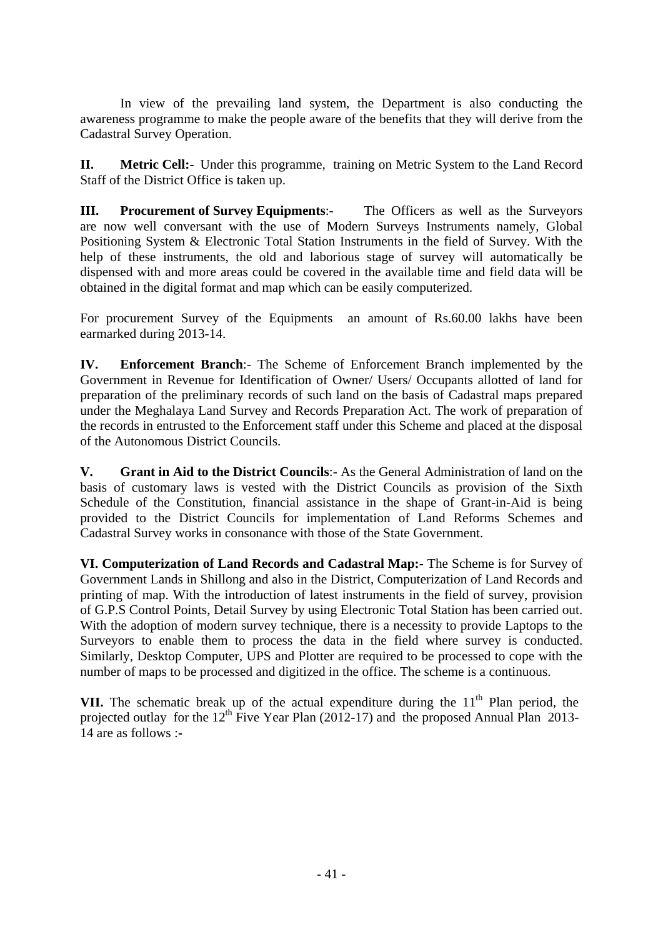In view of the prevailing land system, the Department is also conducting the awareness programme to make the people aware of the benefits that they will derive from the Cadastral Survey Operation.

**II. Metric Cell:-** Under this programme, training on Metric System to the Land Record Staff of the District Office is taken up.

**III. Procurement of Survey Equipments**:- The Officers as well as the Surveyors are now well conversant with the use of Modern Surveys Instruments namely, Global Positioning System & Electronic Total Station Instruments in the field of Survey. With the help of these instruments, the old and laborious stage of survey will automatically be dispensed with and more areas could be covered in the available time and field data will be obtained in the digital format and map which can be easily computerized.

For procurement Survey of the Equipments an amount of Rs.60.00 lakhs have been earmarked during 2013-14.

**IV. Enforcement Branch**:- The Scheme of Enforcement Branch implemented by the Government in Revenue for Identification of Owner/ Users/ Occupants allotted of land for preparation of the preliminary records of such land on the basis of Cadastral maps prepared under the Meghalaya Land Survey and Records Preparation Act. The work of preparation of the records in entrusted to the Enforcement staff under this Scheme and placed at the disposal of the Autonomous District Councils.

**V. Grant in Aid to the District Councils**:- As the General Administration of land on the basis of customary laws is vested with the District Councils as provision of the Sixth Schedule of the Constitution, financial assistance in the shape of Grant-in-Aid is being provided to the District Councils for implementation of Land Reforms Schemes and Cadastral Survey works in consonance with those of the State Government.

**VI. Computerization of Land Records and Cadastral Map:-** The Scheme is for Survey of Government Lands in Shillong and also in the District, Computerization of Land Records and printing of map. With the introduction of latest instruments in the field of survey, provision of G.P.S Control Points, Detail Survey by using Electronic Total Station has been carried out. With the adoption of modern survey technique, there is a necessity to provide Laptops to the Surveyors to enable them to process the data in the field where survey is conducted. Similarly, Desktop Computer, UPS and Plotter are required to be processed to cope with the number of maps to be processed and digitized in the office. The scheme is a continuous.

**VII.** The schematic break up of the actual expenditure during the  $11<sup>th</sup>$  Plan period, the projected outlay for the  $12^{th}$  Five Year Plan (2012-17) and the proposed Annual Plan 2013-14 are as follows :**-**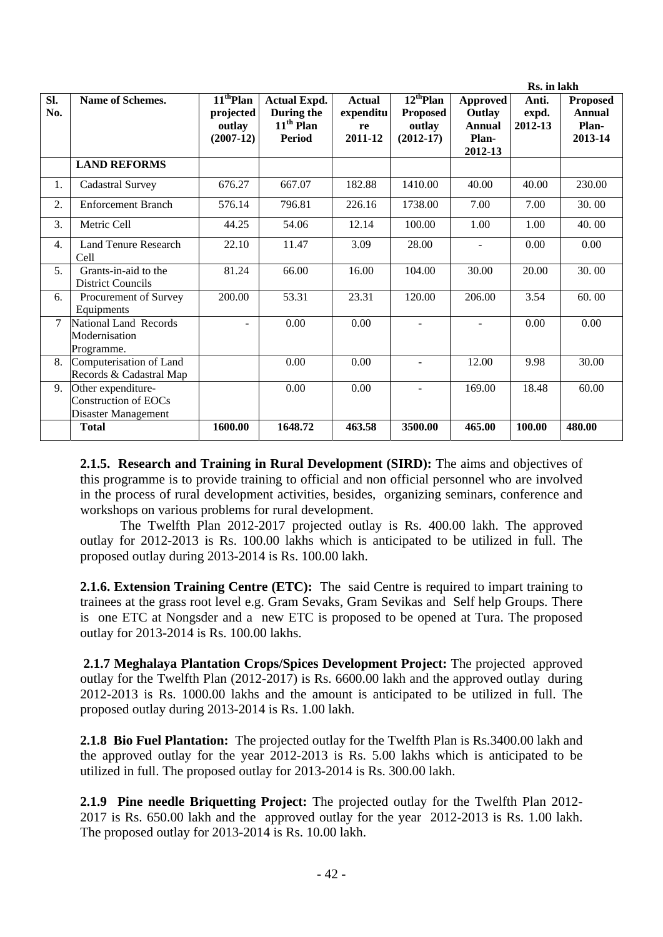|                  |                                                                   |                                                   |                                                                   |                                             |                                                            | Rs. in lakh                                                    |                           |                                                      |  |
|------------------|-------------------------------------------------------------------|---------------------------------------------------|-------------------------------------------------------------------|---------------------------------------------|------------------------------------------------------------|----------------------------------------------------------------|---------------------------|------------------------------------------------------|--|
| SI.<br>No.       | Name of Schemes.                                                  | $11th$ Plan<br>projected<br>outlay<br>$(2007-12)$ | <b>Actual Expd.</b><br>During the<br>$11th$ Plan<br><b>Period</b> | <b>Actual</b><br>expenditu<br>re<br>2011-12 | $12^{th}$ Plan<br><b>Proposed</b><br>outlay<br>$(2012-17)$ | <b>Approved</b><br>Outlay<br><b>Annual</b><br>Plan-<br>2012-13 | Anti.<br>expd.<br>2012-13 | <b>Proposed</b><br><b>Annual</b><br>Plan-<br>2013-14 |  |
|                  | <b>LAND REFORMS</b>                                               |                                                   |                                                                   |                                             |                                                            |                                                                |                           |                                                      |  |
| 1.               | Cadastral Survey                                                  | 676.27                                            | 667.07                                                            | 182.88                                      | 1410.00                                                    | 40.00                                                          | 40.00                     | 230.00                                               |  |
| 2.               | <b>Enforcement Branch</b>                                         | 576.14                                            | 796.81                                                            | 226.16                                      | 1738.00                                                    | 7.00                                                           | 7.00                      | 30.00                                                |  |
| 3.               | Metric Cell                                                       | 44.25                                             | 54.06                                                             | 12.14                                       | 100.00                                                     | 1.00                                                           | 1.00                      | 40.00                                                |  |
| $\overline{4}$ . | <b>Land Tenure Research</b><br>Cell                               | 22.10                                             | 11.47                                                             | 3.09                                        | 28.00                                                      |                                                                | 0.00                      | 0.00                                                 |  |
| 5.               | Grants-in-aid to the<br><b>District Councils</b>                  | 81.24                                             | 66.00                                                             | 16.00                                       | 104.00                                                     | 30.00                                                          | 20.00                     | 30.00                                                |  |
| 6.               | Procurement of Survey<br>Equipments                               | 200.00                                            | 53.31                                                             | 23.31                                       | 120.00                                                     | 206.00                                                         | 3.54                      | 60.00                                                |  |
| 7                | National Land Records<br>Modernisation<br>Programme.              | $\sim$                                            | 0.00                                                              | 0.00                                        |                                                            | $\sim$                                                         | 0.00                      | 0.00                                                 |  |
| 8.               | Computerisation of Land<br>Records & Cadastral Map                |                                                   | 0.00                                                              | 0.00                                        | $\sim$                                                     | 12.00                                                          | 9.98                      | 30.00                                                |  |
| 9.               | Other expenditure-<br>Construction of EOCs<br>Disaster Management |                                                   | 0.00                                                              | 0.00                                        | ÷                                                          | 169.00                                                         | 18.48                     | 60.00                                                |  |
|                  | <b>Total</b>                                                      | 1600.00                                           | 1648.72                                                           | 463.58                                      | 3500.00                                                    | 465.00                                                         | 100.00                    | 480.00                                               |  |

**2.1.5. Research and Training in Rural Development (SIRD):** The aims and objectives of this programme is to provide training to official and non official personnel who are involved in the process of rural development activities, besides, organizing seminars, conference and workshops on various problems for rural development.

 The Twelfth Plan 2012-2017 projected outlay is Rs. 400.00 lakh. The approved outlay for 2012-2013 is Rs. 100.00 lakhs which is anticipated to be utilized in full. The proposed outlay during 2013-2014 is Rs. 100.00 lakh.

**2.1.6. Extension Training Centre (ETC):** The said Centre is required to impart training to trainees at the grass root level e.g. Gram Sevaks, Gram Sevikas and Self help Groups. There is one ETC at Nongsder and a new ETC is proposed to be opened at Tura. The proposed outlay for 2013-2014 is Rs. 100.00 lakhs.

**2.1.7 Meghalaya Plantation Crops/Spices Development Project:** The projected approved outlay for the Twelfth Plan (2012-2017) is Rs. 6600.00 lakh and the approved outlay during 2012-2013 is Rs. 1000.00 lakhs and the amount is anticipated to be utilized in full. The proposed outlay during 2013-2014 is Rs. 1.00 lakh.

**2.1.8 Bio Fuel Plantation:** The projected outlay for the Twelfth Plan is Rs.3400.00 lakh and the approved outlay for the year 2012-2013 is Rs. 5.00 lakhs which is anticipated to be utilized in full. The proposed outlay for 2013-2014 is Rs. 300.00 lakh.

**2.1.9 Pine needle Briquetting Project:** The projected outlay for the Twelfth Plan 2012- 2017 is Rs. 650.00 lakh and the approved outlay for the year 2012-2013 is Rs. 1.00 lakh. The proposed outlay for 2013-2014 is Rs. 10.00 lakh.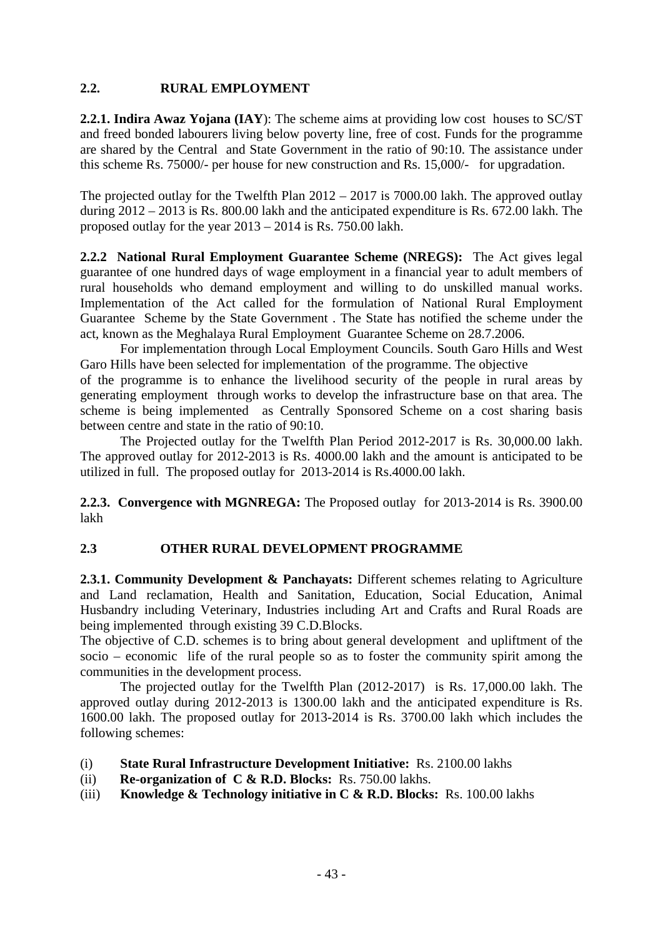#### **2.2. RURAL EMPLOYMENT**

**2.2.1. Indira Awaz Yojana (IAY**): The scheme aims at providing low cost houses to SC/ST and freed bonded labourers living below poverty line, free of cost. Funds for the programme are shared by the Central and State Government in the ratio of 90:10. The assistance under this scheme Rs. 75000/- per house for new construction and Rs. 15,000/- for upgradation.

The projected outlay for the Twelfth Plan 2012 – 2017 is 7000.00 lakh. The approved outlay during 2012 – 2013 is Rs. 800.00 lakh and the anticipated expenditure is Rs. 672.00 lakh. The proposed outlay for the year 2013 – 2014 is Rs. 750.00 lakh.

**2.2.2 National Rural Employment Guarantee Scheme (NREGS):** The Act gives legal guarantee of one hundred days of wage employment in a financial year to adult members of rural households who demand employment and willing to do unskilled manual works. Implementation of the Act called for the formulation of National Rural Employment Guarantee Scheme by the State Government . The State has notified the scheme under the act, known as the Meghalaya Rural Employment Guarantee Scheme on 28.7.2006.

 For implementation through Local Employment Councils. South Garo Hills and West Garo Hills have been selected for implementation of the programme. The objective

of the programme is to enhance the livelihood security of the people in rural areas by generating employment through works to develop the infrastructure base on that area. The scheme is being implemented as Centrally Sponsored Scheme on a cost sharing basis between centre and state in the ratio of 90:10.

The Projected outlay for the Twelfth Plan Period 2012-2017 is Rs. 30,000.00 lakh. The approved outlay for 2012-2013 is Rs. 4000.00 lakh and the amount is anticipated to be utilized in full. The proposed outlay for 2013-2014 is Rs.4000.00 lakh.

**2.2.3. Convergence with MGNREGA:** The Proposed outlay for 2013-2014 is Rs. 3900.00 lakh

### **2.3 OTHER RURAL DEVELOPMENT PROGRAMME**

2.3.1. Community Development & Panchayats: Different schemes relating to Agriculture and Land reclamation, Health and Sanitation, Education, Social Education, Animal Husbandry including Veterinary, Industries including Art and Crafts and Rural Roads are being implemented through existing 39 C.D.Blocks.

The objective of C.D. schemes is to bring about general development and upliftment of the socio – economic life of the rural people so as to foster the community spirit among the communities in the development process.

 The projected outlay for the Twelfth Plan (2012-2017) is Rs. 17,000.00 lakh. The approved outlay during 2012-2013 is 1300.00 lakh and the anticipated expenditure is Rs. 1600.00 lakh. The proposed outlay for 2013-2014 is Rs. 3700.00 lakh which includes the following schemes:

- (i) **State Rural Infrastructure Development Initiative:** Rs. 2100.00 lakhs
- (ii) **Re-organization of C & R.D. Blocks:** Rs. 750.00 lakhs.
- (iii) **Knowledge & Technology initiative in C & R.D. Blocks:** Rs. 100.00 lakhs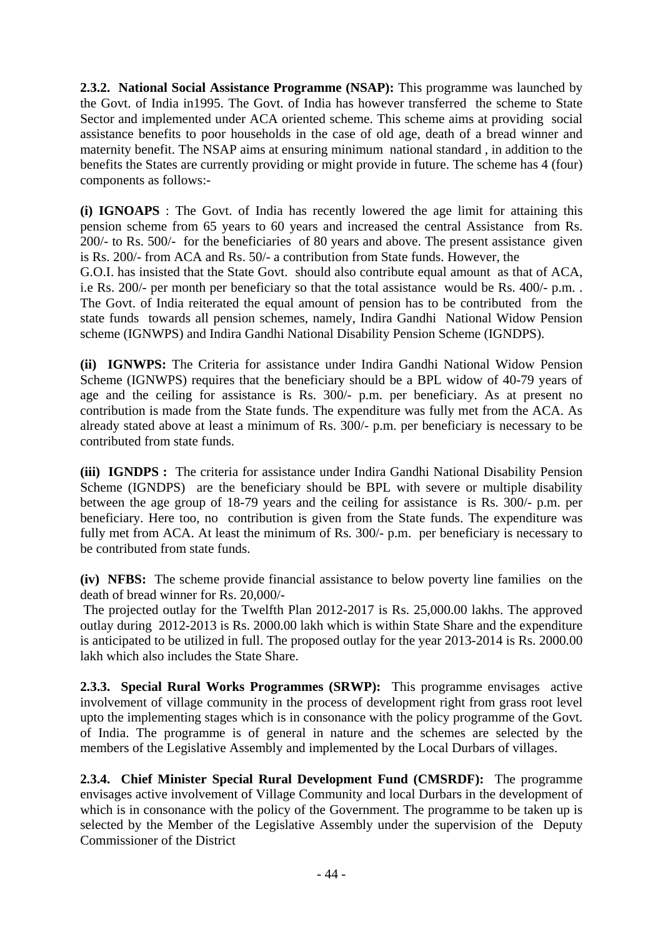**2.3.2. National Social Assistance Programme (NSAP):** This programme was launched by the Govt. of India in1995. The Govt. of India has however transferred the scheme to State Sector and implemented under ACA oriented scheme. This scheme aims at providing social assistance benefits to poor households in the case of old age, death of a bread winner and maternity benefit. The NSAP aims at ensuring minimum national standard , in addition to the benefits the States are currently providing or might provide in future. The scheme has 4 (four) components as follows:-

**(i) IGNOAPS** : The Govt. of India has recently lowered the age limit for attaining this pension scheme from 65 years to 60 years and increased the central Assistance from Rs. 200/- to Rs. 500/- for the beneficiaries of 80 years and above. The present assistance given is Rs. 200/- from ACA and Rs. 50/- a contribution from State funds. However, the G.O.I. has insisted that the State Govt. should also contribute equal amount as that of ACA, i.e Rs. 200/- per month per beneficiary so that the total assistance would be Rs. 400/- p.m. . The Govt. of India reiterated the equal amount of pension has to be contributed from the state funds towards all pension schemes, namely, Indira Gandhi National Widow Pension scheme (IGNWPS) and Indira Gandhi National Disability Pension Scheme (IGNDPS).

**(ii) IGNWPS:** The Criteria for assistance under Indira Gandhi National Widow Pension Scheme (IGNWPS) requires that the beneficiary should be a BPL widow of 40-79 years of age and the ceiling for assistance is Rs. 300/- p.m. per beneficiary. As at present no contribution is made from the State funds. The expenditure was fully met from the ACA. As already stated above at least a minimum of Rs. 300/- p.m. per beneficiary is necessary to be contributed from state funds.

**(iii) IGNDPS :** The criteria for assistance under Indira Gandhi National Disability Pension Scheme (IGNDPS) are the beneficiary should be BPL with severe or multiple disability between the age group of 18-79 years and the ceiling for assistance is Rs. 300/- p.m. per beneficiary. Here too, no contribution is given from the State funds. The expenditure was fully met from ACA. At least the minimum of Rs. 300/- p.m. per beneficiary is necessary to be contributed from state funds.

**(iv) NFBS:** The scheme provide financial assistance to below poverty line families on the death of bread winner for Rs. 20,000/-

 The projected outlay for the Twelfth Plan 2012-2017 is Rs. 25,000.00 lakhs. The approved outlay during 2012-2013 is Rs. 2000.00 lakh which is within State Share and the expenditure is anticipated to be utilized in full. The proposed outlay for the year 2013-2014 is Rs. 2000.00 lakh which also includes the State Share.

**2.3.3. Special Rural Works Programmes (SRWP):** This programme envisages active involvement of village community in the process of development right from grass root level upto the implementing stages which is in consonance with the policy programme of the Govt. of India. The programme is of general in nature and the schemes are selected by the members of the Legislative Assembly and implemented by the Local Durbars of villages.

**2.3.4. Chief Minister Special Rural Development Fund (CMSRDF):** The programme envisages active involvement of Village Community and local Durbars in the development of which is in consonance with the policy of the Government. The programme to be taken up is selected by the Member of the Legislative Assembly under the supervision of the Deputy Commissioner of the District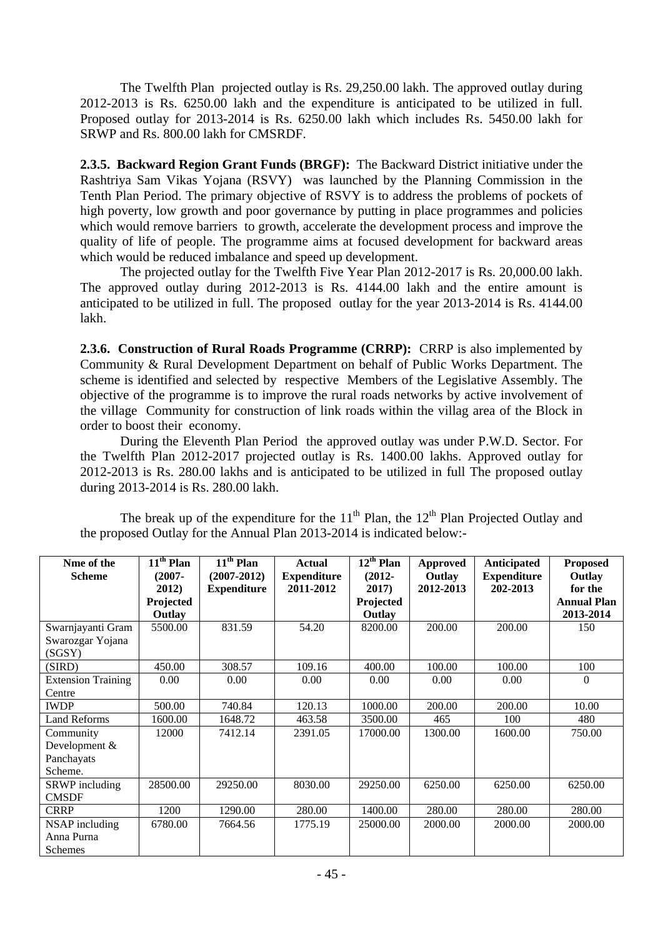The Twelfth Plan projected outlay is Rs. 29,250.00 lakh. The approved outlay during 2012-2013 is Rs. 6250.00 lakh and the expenditure is anticipated to be utilized in full. Proposed outlay for 2013-2014 is Rs. 6250.00 lakh which includes Rs. 5450.00 lakh for SRWP and Rs. 800.00 lakh for CMSRDF.

**2.3.5. Backward Region Grant Funds (BRGF):** The Backward District initiative under the Rashtriya Sam Vikas Yojana (RSVY) was launched by the Planning Commission in the Tenth Plan Period. The primary objective of RSVY is to address the problems of pockets of high poverty, low growth and poor governance by putting in place programmes and policies which would remove barriers to growth, accelerate the development process and improve the quality of life of people. The programme aims at focused development for backward areas which would be reduced imbalance and speed up development.

The projected outlay for the Twelfth Five Year Plan 2012-2017 is Rs. 20,000.00 lakh. The approved outlay during 2012-2013 is Rs. 4144.00 lakh and the entire amount is anticipated to be utilized in full. The proposed outlay for the year 2013-2014 is Rs. 4144.00 lakh.

**2.3.6. Construction of Rural Roads Programme (CRRP):** CRRP is also implemented by Community & Rural Development Department on behalf of Public Works Department. The scheme is identified and selected by respective Members of the Legislative Assembly. The objective of the programme is to improve the rural roads networks by active involvement of the village Community for construction of link roads within the villag area of the Block in order to boost their economy.

 During the Eleventh Plan Period the approved outlay was under P.W.D. Sector. For the Twelfth Plan 2012-2017 projected outlay is Rs. 1400.00 lakhs. Approved outlay for 2012-2013 is Rs. 280.00 lakhs and is anticipated to be utilized in full The proposed outlay during 2013-2014 is Rs. 280.00 lakh.

| Nme of the                | $11th$ Plan | $11th$ Plan        | <b>Actual</b>      | $12^{\text{th}}$ Plan | <b>Approved</b> | <b>Anticipated</b> | <b>Proposed</b>    |
|---------------------------|-------------|--------------------|--------------------|-----------------------|-----------------|--------------------|--------------------|
| <b>Scheme</b>             | $(2007 -$   | $(2007 - 2012)$    | <b>Expenditure</b> | $(2012 -$             | Outlay          | <b>Expenditure</b> | Outlay             |
|                           | 2012)       | <b>Expenditure</b> | 2011-2012          | 2017)                 | 2012-2013       | 202-2013           | for the            |
|                           | Projected   |                    |                    | Projected             |                 |                    | <b>Annual Plan</b> |
|                           | Outlay      |                    |                    | Outlay                |                 |                    | 2013-2014          |
| Swarnjayanti Gram         | 5500.00     | 831.59             | 54.20              | 8200.00               | 200.00          | 200.00             | 150                |
| Swarozgar Yojana          |             |                    |                    |                       |                 |                    |                    |
| (SGSY)                    |             |                    |                    |                       |                 |                    |                    |
| (SIRD)                    | 450.00      | 308.57             | 109.16             | 400.00                | 100.00          | 100.00             | 100                |
| <b>Extension Training</b> | 0.00        | 0.00               | 0.00               | 0.00                  | 0.00            | 0.00               | $\theta$           |
| Centre                    |             |                    |                    |                       |                 |                    |                    |
| <b>IWDP</b>               | 500.00      | 740.84             | 120.13             | 1000.00               | 200.00          | 200.00             | 10.00              |
| <b>Land Reforms</b>       | 1600.00     | 1648.72            | 463.58             | 3500.00               | 465             | 100                | 480                |
| Community                 | 12000       | 7412.14            | 2391.05            | 17000.00              | 1300.00         | 1600.00            | 750.00             |
| Development &             |             |                    |                    |                       |                 |                    |                    |
| Panchayats                |             |                    |                    |                       |                 |                    |                    |
| Scheme.                   |             |                    |                    |                       |                 |                    |                    |
| <b>SRWP</b> including     | 28500.00    | 29250.00           | 8030.00            | 29250.00              | 6250.00         | 6250.00            | 6250.00            |
| <b>CMSDF</b>              |             |                    |                    |                       |                 |                    |                    |
| <b>CRRP</b>               | 1200        | 1290.00            | 280.00             | 1400.00               | 280.00          | 280.00             | 280.00             |
| NSAP including            | 6780.00     | 7664.56            | 1775.19            | 25000.00              | 2000.00         | 2000.00            | 2000.00            |
| Anna Purna                |             |                    |                    |                       |                 |                    |                    |
| Schemes                   |             |                    |                    |                       |                 |                    |                    |

The break up of the expenditure for the  $11<sup>th</sup>$  Plan, the  $12<sup>th</sup>$  Plan Projected Outlay and the proposed Outlay for the Annual Plan 2013-2014 is indicated below:-